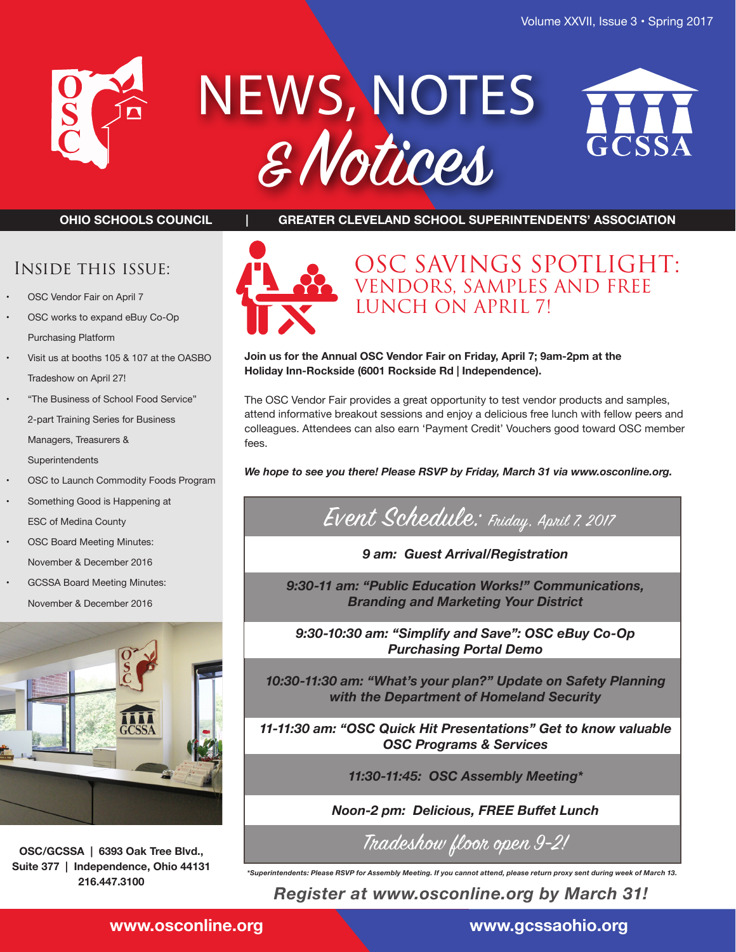

# NEWS, NOTES & Notices



**OHIO SCHOOLS COUNCIL | GREATER CLEVELAND SCHOOL SUPERINTENDENTS' ASSOCIATION**



## OSC SAVINGS SPOTLIGHT: VENDORS, SAMPLES AND FREE LUNCH ON APRIL 7!

**Join us for the Annual OSC Vendor Fair on Friday, April 7; 9am-2pm at the Holiday Inn-Rockside (6001 Rockside Rd | Independence).**

The OSC Vendor Fair provides a great opportunity to test vendor products and samples, attend informative breakout sessions and enjoy a delicious free lunch with fellow peers and colleagues. Attendees can also earn 'Payment Credit' Vouchers good toward OSC member fees.

*We hope to see you there! Please RSVP by Friday, March 31 via www.osconline.org.*

## Event Schedule: Friday, April 7, 2017

*9 am: Guest Arrival/Registration*

*9:30-11 am: "Public Education Works!" Communications, Branding and Marketing Your District* 

*9:30-10:30 am: "Simplify and Save": OSC eBuy Co-Op Purchasing Portal Demo*

*10:30-11:30 am: "What's your plan?" Update on Safety Planning with the Department of Homeland Security*

*11-11:30 am: "OSC Quick Hit Presentations" Get to know valuable OSC Programs & Services*

*11:30-11:45: OSC Assembly Meeting\**

*Noon-2 pm: Delicious, FREE Buffet Lunch*

Tradeshow floor open 9-2!

*\*Superintendents: Please RSVP for Assembly Meeting. If you cannot attend, please return proxy sent during week of March 13.*

*Register at www.osconline.org by March 31!*

Inside this issue:

- OSC Vendor Fair on April 7
- OSC works to expand eBuy Co-Op Purchasing Platform
- Visit us at booths 105 & 107 at the OASBO Tradeshow on April 27!
- "The Business of School Food Service" 2-part Training Series for Business Managers, Treasurers & **Superintendents**
- OSC to Launch Commodity Foods Program
- Something Good is Happening at ESC of Medina County
- OSC Board Meeting Minutes: November & December 2016
- GCSSA Board Meeting Minutes: November & December 2016



**OSC/GCSSA | 6393 Oak Tree Blvd., Suite 377 | Independence, Ohio 44131 216.447.3100**

**www.osconline.org www.gcssaohio.org**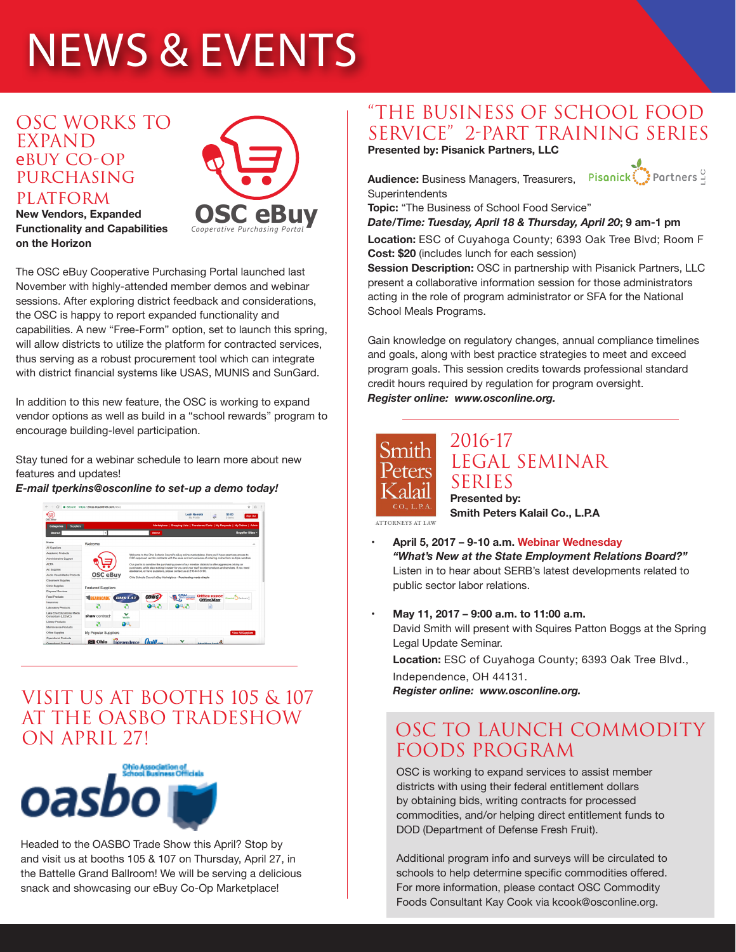## NEWS & EVENTS

### OSC WORKS TO EXPAND ebuy CO-OP **PURCHASING PLATFORM**



#### **New Vendors, Expanded Functionality and Capabilities on the Horizon**

The OSC eBuy Cooperative Purchasing Portal launched last November with highly-attended member demos and webinar sessions. After exploring district feedback and considerations, the OSC is happy to report expanded functionality and capabilities. A new "Free-Form" option, set to launch this spring, will allow districts to utilize the platform for contracted services, thus serving as a robust procurement tool which can integrate with district financial systems like USAS, MUNIS and SunGard.

In addition to this new feature, the OSC is working to expand vendor options as well as build in a "school rewards" program to encourage building-level participation.

Stay tuned for a webinar schedule to learn more about new features and updates!

#### *E-mail tperkins@osconline to set-up a demo today!*



## VISIT US AT BOOTHS 105 & 107 AT THE OASBO TRADESHOW ON APRIL 27!



Headed to the OASBO Trade Show this April? Stop by and visit us at booths 105 & 107 on Thursday, April 27, in the Battelle Grand Ballroom! We will be serving a delicious snack and showcasing our eBuy Co-Op Marketplace!

## "THE BUSINESS OF SCHOOL FOOD SERVICE" 2-PART TRAINING SERIES

**Presented by: Pisanick Partners, LLC**

Pisanick: Partners **Audience:** Business Managers, Treasurers, **Superintendents** 

**Topic:** "The Business of School Food Service"

*Date/Time: Tuesday, April 18 & Thursday, April 20***; 9 am-1 pm**

**Location:** ESC of Cuyahoga County; 6393 Oak Tree Blvd; Room F **Cost: \$20** (includes lunch for each session)

**Session Description:** OSC in partnership with Pisanick Partners, LLC present a collaborative information session for those administrators acting in the role of program administrator or SFA for the National School Meals Programs.

Gain knowledge on regulatory changes, annual compliance timelines and goals, along with best practice strategies to meet and exceed program goals. This session credits towards professional standard credit hours required by regulation for program oversight. *Register online: www.osconline.org.*



#### 2016-17 LEGAL SEMINAR SERIES **Presented by: Smith Peters Kalail Co., L.P.A**

**ATTORNEYS AT LAW** 

**• April 5, 2017 – 9-10 a.m. Webinar Wednesday**  *"What's New at the State Employment Relations Board?"*  Listen in to hear about SERB's latest developments related to public sector labor relations.

#### **• May 11, 2017 – 9:00 a.m. to 11:00 a.m.**

David Smith will present with Squires Patton Boggs at the Spring Legal Update Seminar.

**Location:** ESC of Cuyahoga County; 6393 Oak Tree Blvd.,

Independence, OH 44131.

*Register online: www.osconline.org.*

## OSC TO LAUNCH COMMODITY FOODS PROGRAM

OSC is working to expand services to assist member districts with using their federal entitlement dollars by obtaining bids, writing contracts for processed commodities, and/or helping direct entitlement funds to DOD (Department of Defense Fresh Fruit).

Additional program info and surveys will be circulated to schools to help determine specific commodities offered. For more information, please contact OSC Commodity Foods Consultant Kay Cook via kcook@osconline.org.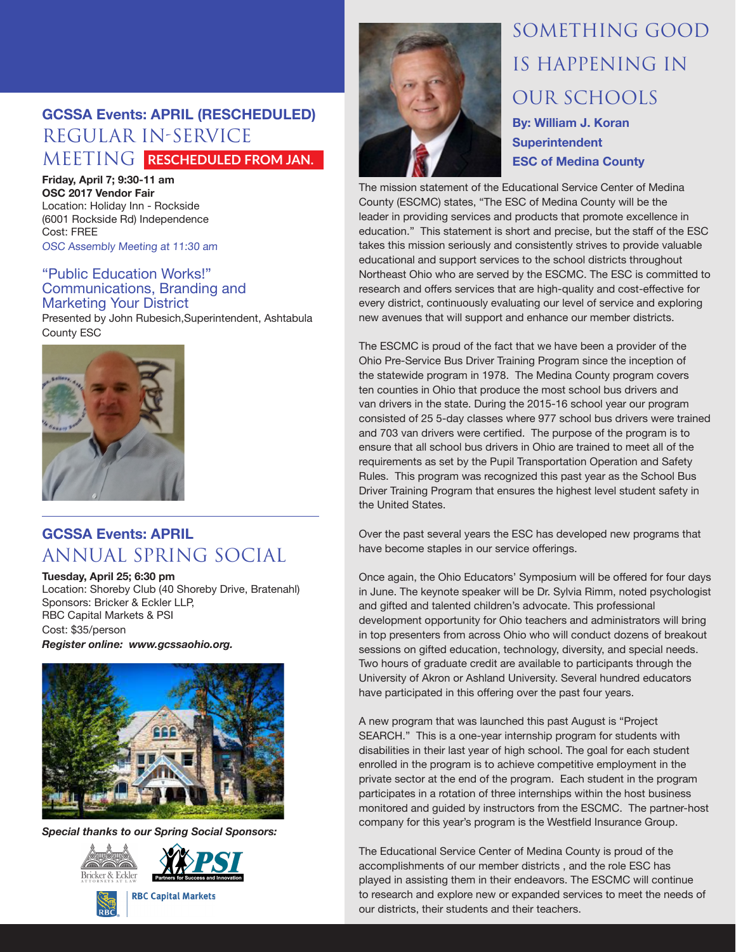## **GCSSA Events: APRIL (RESCHEDULED)** REGULAR IN-SERVICE MEETING **RESCHEDULED FROM JAN.**

**Friday, April 7; 9:30-11 am OSC 2017 Vendor Fair** Location: Holiday Inn - Rockside (6001 Rockside Rd) Independence Cost: FREE OSC Assembly Meeting at 11:30 am

#### "Public Education Works!" Communications, Branding and Marketing Your District

Presented by John Rubesich,Superintendent, Ashtabula County ESC



## **GCSSA Events: APRIL** ANNUAL SPRING SOCIAL

**Tuesday, April 25; 6:30 pm**

Location: Shoreby Club (40 Shoreby Drive, Bratenahl) Sponsors: Bricker & Eckler LLP, RBC Capital Markets & PSI Cost: \$35/person

*Register online: www.gcssaohio.org.*



*Special thanks to our Spring Social Sponsors:* 









## SOMETHING GOOD IS HAPPENING IN OUR SCHOOLS **By: William J. Koran Superintendent ESC of Medina County**

The mission statement of the Educational Service Center of Medina County (ESCMC) states, "The ESC of Medina County will be the leader in providing services and products that promote excellence in education." This statement is short and precise, but the staff of the ESC takes this mission seriously and consistently strives to provide valuable educational and support services to the school districts throughout Northeast Ohio who are served by the ESCMC. The ESC is committed to research and offers services that are high-quality and cost-effective for every district, continuously evaluating our level of service and exploring new avenues that will support and enhance our member districts.

The ESCMC is proud of the fact that we have been a provider of the Ohio Pre-Service Bus Driver Training Program since the inception of the statewide program in 1978. The Medina County program covers ten counties in Ohio that produce the most school bus drivers and van drivers in the state. During the 2015-16 school year our program consisted of 25 5-day classes where 977 school bus drivers were trained and 703 van drivers were certified. The purpose of the program is to ensure that all school bus drivers in Ohio are trained to meet all of the requirements as set by the Pupil Transportation Operation and Safety Rules. This program was recognized this past year as the School Bus Driver Training Program that ensures the highest level student safety in the United States.

Over the past several years the ESC has developed new programs that have become staples in our service offerings.

Once again, the Ohio Educators' Symposium will be offered for four days in June. The keynote speaker will be Dr. Sylvia Rimm, noted psychologist and gifted and talented children's advocate. This professional development opportunity for Ohio teachers and administrators will bring in top presenters from across Ohio who will conduct dozens of breakout sessions on gifted education, technology, diversity, and special needs. Two hours of graduate credit are available to participants through the University of Akron or Ashland University. Several hundred educators have participated in this offering over the past four years.

A new program that was launched this past August is "Project SEARCH." This is a one-year internship program for students with disabilities in their last year of high school. The goal for each student enrolled in the program is to achieve competitive employment in the private sector at the end of the program. Each student in the program participates in a rotation of three internships within the host business monitored and guided by instructors from the ESCMC. The partner-host company for this year's program is the Westfield Insurance Group.

The Educational Service Center of Medina County is proud of the accomplishments of our member districts , and the role ESC has played in assisting them in their endeavors. The ESCMC will continue to research and explore new or expanded services to meet the needs of our districts, their students and their teachers.